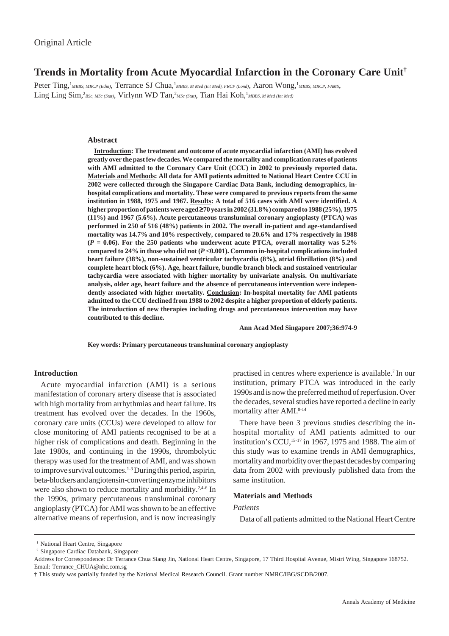# **Trends in Mortality from Acute Myocardial Infarction in the Coronary Care Unit†**

Peter Ting,<sup>1</sup>MBBS, MRCP (Edin), Terrance SJ Chua,<sup>1</sup>MBBS, M Med (Int Med), FRCP (Lond), Aaron Wong,<sup>1</sup>MBBS, MRCP, FAMS, Ling Ling Sim,<sup>2</sup>BSc, MSc (Stat), Virlynn WD Tan,<sup>2</sup>MSc (Stat), Tian Hai Koh,<sup>1</sup>MBBS, M Med (Int Med)

## **Abstract**

**Introduction: The treatment and outcome of acute myocardial infarction (AMI) has evolved greatly over the past few decades. We compared the mortality and complication rates of patients with AMI admitted to the Coronary Care Unit (CCU) in 2002 to previously reported data. Materials and Methods: All data for AMI patients admitted to National Heart Centre CCU in 2002 were collected through the Singapore Cardiac Data Bank, including demographics, inhospital complications and mortality. These were compared to previous reports from the same institution in 1988, 1975 and 1967. Results: A total of 516 cases with AMI were identified. A higher proportion of patients were aged** ≥**70 years in 2002 (31.8%) compared to 1988 (25%), 1975 (11%) and 1967 (5.6%). Acute percutaneous transluminal coronary angioplasty (PTCA) was performed in 250 of 516 (48%) patients in 2002. The overall in-patient and age-standardised mortality was 14.7% and 10% respectively, compared to 20.6% and 17% respectively in 1988 (***P* **= 0.06). For the 250 patients who underwent acute PTCA, overall mortality was 5.2% compared to 24% in those who did not (***P* **<0.001). Common in-hospital complications included heart failure (38%), non-sustained ventricular tachycardia (8%), atrial fibrillation (8%) and complete heart block (6%). Age, heart failure, bundle branch block and sustained ventricular tachycardia were associated with higher mortality by univariate analysis. On multivariate analysis, older age, heart failure and the absence of percutaneous intervention were independently associated with higher mortality. Conclusion: In-hospital mortality for AMI patients admitted to the CCU declined from 1988 to 2002 despite a higher proportion of elderly patients. The introduction of new therapies including drugs and percutaneous intervention may have contributed to this decline.**

**Ann Acad Med Singapore 2007;36:974-9**

**Key words: Primary percutaneous transluminal coronary angioplasty**

### **Introduction**

Acute myocardial infarction (AMI) is a serious manifestation of coronary artery disease that is associated with high mortality from arrhythmias and heart failure. Its treatment has evolved over the decades. In the 1960s, coronary care units (CCUs) were developed to allow for close monitoring of AMI patients recognised to be at a higher risk of complications and death. Beginning in the late 1980s, and continuing in the 1990s, thrombolytic therapy was used for the treatment of AMI, and was shown to improve survival outcomes.<sup>1-3</sup> During this period, aspirin, beta-blockers and angiotensin-converting enzyme inhibitors were also shown to reduce mortality and morbidity.<sup>2,4-6</sup> In the 1990s, primary percutaneous transluminal coronary angioplasty (PTCA) for AMI was shown to be an effective alternative means of reperfusion, and is now increasingly practised in centres where experience is available.7 In our institution, primary PTCA was introduced in the early 1990s and is now the preferred method of reperfusion. Over the decades, several studies have reported a decline in early mortality after AMI.<sup>8-14</sup>

There have been 3 previous studies describing the inhospital mortality of AMI patients admitted to our institution's CCU,15-17 in 1967, 1975 and 1988. The aim of this study was to examine trends in AMI demographics, mortality and morbidity over the past decades by comparing data from 2002 with previously published data from the same institution.

#### **Materials and Methods**

## *Patients*

Data of all patients admitted to the National Heart Centre

<sup>&</sup>lt;sup>1</sup> National Heart Centre, Singapore

<sup>2</sup> Singapore Cardiac Databank, Singapore

Address for Correspondence: Dr Terrance Chua Siang Jin, National Heart Centre, Singapore, 17 Third Hospital Avenue, Mistri Wing, Singapore 168752. Email: Terrance\_CHUA@nhc.com.sg

<sup>†</sup> This study was partially funded by the National Medical Research Council. Grant number NMRC/IBG/SCDB/2007.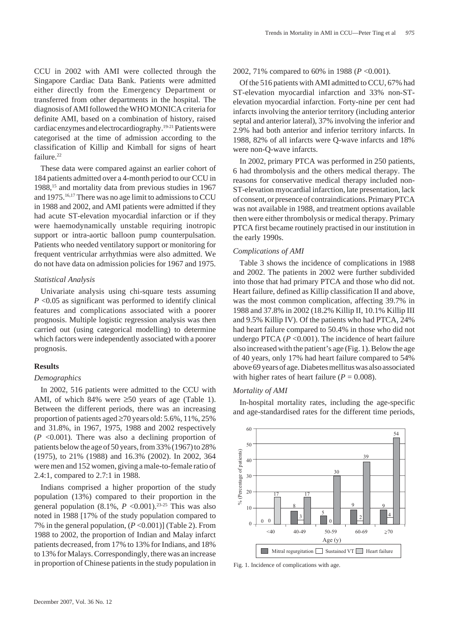CCU in 2002 with AMI were collected through the Singapore Cardiac Data Bank. Patients were admitted either directly from the Emergency Department or transferred from other departments in the hospital. The diagnosis of AMI followed the WHO MONICA criteria for definite AMI, based on a combination of history, raised cardiac enzymes and electrocardiography.19-21 Patients were categorised at the time of admission according to the classification of Killip and Kimball for signs of heart failure.<sup>22</sup>

These data were compared against an earlier cohort of 184 patients admitted over a 4-month period to our CCU in 1988,15 and mortality data from previous studies in 1967 and 1975.16,17 There was no age limit to admissions to CCU in 1988 and 2002, and AMI patients were admitted if they had acute ST-elevation myocardial infarction or if they were haemodynamically unstable requiring inotropic support or intra-aortic balloon pump counterpulsation. Patients who needed ventilatory support or monitoring for frequent ventricular arrhythmias were also admitted. We do not have data on admission policies for 1967 and 1975.

## *Statistical Analysis*

Univariate analysis using chi-square tests assuming *P* <0.05 as significant was performed to identify clinical features and complications associated with a poorer prognosis. Multiple logistic regression analysis was then carried out (using categorical modelling) to determine which factors were independently associated with a poorer prognosis.

## **Results**

## *Demographics*

In 2002, 516 patients were admitted to the CCU with AMI, of which 84% were  $\geq 50$  years of age (Table 1). Between the different periods, there was an increasing proportion of patients aged ≥70 years old: 5.6%, 11%, 25% and 31.8%, in 1967, 1975, 1988 and 2002 respectively  $(P \le 0.001)$ . There was also a declining proportion of patients below the age of 50 years, from 33% (1967) to 28% (1975), to 21% (1988) and 16.3% (2002). In 2002, 364 were men and 152 women, giving a male-to-female ratio of 2.4:1, compared to 2.7:1 in 1988.

Indians comprised a higher proportion of the study population (13%) compared to their proportion in the general population  $(8.1\%, P \le 0.001).^{23\cdot25}$  This was also noted in 1988 [17% of the study population compared to 7% in the general population, (*P* <0.001)] (Table 2). From 1988 to 2002, the proportion of Indian and Malay infarct patients decreased, from 17% to 13% for Indians, and 18% to 13% for Malays. Correspondingly, there was an increase in proportion of Chinese patients in the study population in

#### 2002, 71% compared to 60% in 1988 (*P* <0.001).

Of the 516 patients with AMI admitted to CCU, 67% had ST-elevation myocardial infarction and 33% non-STelevation myocardial infarction. Forty-nine per cent had infarcts involving the anterior territory (including anterior septal and anterior lateral), 37% involving the inferior and 2.9% had both anterior and inferior territory infarcts. In 1988, 82% of all infarcts were Q-wave infarcts and 18% were non-Q-wave infarcts.

In 2002, primary PTCA was performed in 250 patients, 6 had thrombolysis and the others medical therapy. The reasons for conservative medical therapy included non-ST-elevation myocardial infarction, late presentation, lack of consent, or presence of contraindications. Primary PTCA was not available in 1988, and treatment options available then were either thrombolysis or medical therapy. Primary PTCA first became routinely practised in our institution in the early 1990s.

## *Complications of AMI*

Table 3 shows the incidence of complications in 1988 and 2002. The patients in 2002 were further subdivided into those that had primary PTCA and those who did not. Heart failure, defined as Killip classification II and above, was the most common complication, affecting 39.7% in 1988 and 37.8% in 2002 (18.2% Killip II, 10.1% Killip III and 9.5% Killip IV). Of the patients who had PTCA, 24% had heart failure compared to 50.4% in those who did not undergo PTCA (*P* <0.001). The incidence of heart failure also increased with the patient's age (Fig. 1). Below the age of 40 years, only 17% had heart failure compared to 54% above 69 years of age. Diabetes mellitus was also associated with higher rates of heart failure  $(P = 0.008)$ .

#### *Mortality of AMI*

In-hospital mortality rates, including the age-specific and age-standardised rates for the different time periods,



Fig. 1. Incidence of complications with age.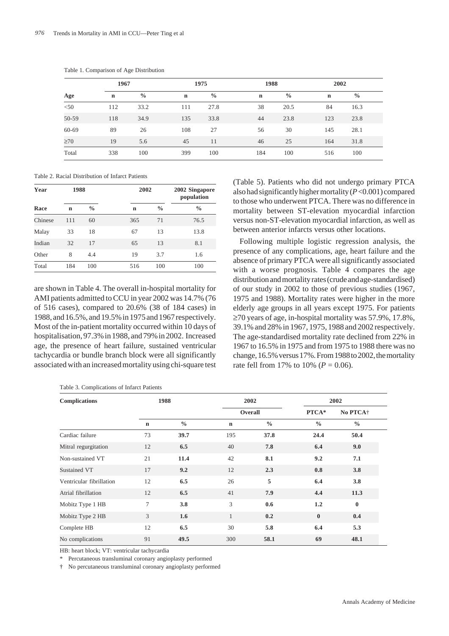|           | 1967        |               | 1975        |               | 1988        |               | 2002        |               |  |  |
|-----------|-------------|---------------|-------------|---------------|-------------|---------------|-------------|---------------|--|--|
| Age       | $\mathbf n$ | $\frac{0}{0}$ | $\mathbf n$ | $\frac{0}{0}$ | $\mathbf n$ | $\frac{0}{0}$ | $\mathbf n$ | $\frac{0}{0}$ |  |  |
| $<$ 50    | 112         | 33.2          | 111         | 27.8          | 38          | 20.5          | 84          | 16.3          |  |  |
| 50-59     | 118         | 34.9          | 135         | 33.8          | 44          | 23.8          | 123         | 23.8          |  |  |
| 60-69     | 89          | 26            | 108         | 27            | 56          | 30            | 145         | 28.1          |  |  |
| $\geq 70$ | 19          | 5.6           | 45          | 11            | 46          | 25            | 164         | 31.8          |  |  |
| Total     | 338         | 100           | 399         | 100           | 184         | 100           | 516         | 100           |  |  |

Table 1. Comparison of Age Distribution

Table 2. Racial Distribution of Infarct Patients

| Year    | 1988 |               | 2002 | 2002 Singapore<br>population |               |
|---------|------|---------------|------|------------------------------|---------------|
| Race    | n    | $\frac{0}{0}$ | n    | $\frac{0}{0}$                | $\frac{0}{0}$ |
| Chinese | 111  | 60            | 365  | 71                           | 76.5          |
| Malay   | 33   | 18            | 67   | 13                           | 13.8          |
| Indian  | 32   | 17            | 65   | 13                           | 8.1           |
| Other   | 8    | 4.4           | 19   | 3.7                          | 1.6           |
| Total   | 184  | 100           | 516  | 100                          | 100           |

are shown in Table 4. The overall in-hospital mortality for AMI patients admitted to CCU in year 2002 was 14.7% (76 of 516 cases), compared to 20.6% (38 of 184 cases) in 1988, and 16.5%, and 19.5% in 1975 and 1967 respectively. Most of the in-patient mortality occurred within 10 days of hospitalisation, 97.3% in 1988, and 79% in 2002. Increased age, the presence of heart failure, sustained ventricular tachycardia or bundle branch block were all significantly associated with an increased mortality using chi-square test

Table 3. Complications of Infarct Patients

(Table 5). Patients who did not undergo primary PTCA also had significantly higher mortality (*P* <0.001) compared to those who underwent PTCA. There was no difference in mortality between ST-elevation myocardial infarction versus non-ST-elevation myocardial infarction, as well as between anterior infarcts versus other locations.

Following multiple logistic regression analysis, the presence of any complications, age, heart failure and the absence of primary PTCA were all significantly associated with a worse prognosis*.* Table 4 compares the age distribution and mortality rates (crude and age-standardised) of our study in 2002 to those of previous studies (1967, 1975 and 1988). Mortality rates were higher in the more elderly age groups in all years except 1975. For patients ≥70 years of age, in-hospital mortality was 57.9%, 17.8%, 39.1% and 28% in 1967, 1975, 1988 and 2002 respectively. The age-standardised mortality rate declined from 22% in 1967 to 16.5% in 1975 and from 1975 to 1988 there was no change, 16.5% versus 17%. From 1988 to 2002, the mortality rate fell from 17% to 10% ( $P = 0.06$ ).

| <b>Complications</b>     | 1988        |               | 2002<br>Overall |               | 2002          |               |
|--------------------------|-------------|---------------|-----------------|---------------|---------------|---------------|
|                          |             |               |                 |               | PTCA*         | No PTCA+      |
|                          | $\mathbf n$ | $\frac{0}{0}$ | $\mathbf n$     | $\frac{0}{0}$ | $\frac{0}{0}$ | $\frac{0}{0}$ |
| Cardiac failure          | 73          | 39.7          | 195             | 37.8          | 24.4          | 50.4          |
| Mitral regurgitation     | 12          | 6.5           | 40              | 7.8           | 6.4           | 9.0           |
| Non-sustained VT         | 21          | 11.4          | 42              | 8.1           | 9.2           | 7.1           |
| Sustained VT             | 17          | 9.2           | 12              | 2.3           | 0.8           | 3.8           |
| Ventricular fibrillation | 12          | 6.5           | 26              | 5             | 6.4           | 3.8           |
| Atrial fibrillation      | 12          | 6.5           | 41              | 7.9           | 4.4           | 11.3          |
| Mobitz Type 1 HB         | 7           | 3.8           | 3               | 0.6           | 1.2           | $\bf{0}$      |
| Mobitz Type 2 HB         | 3           | 1.6           | $\mathbf{1}$    | 0.2           | $\bf{0}$      | 0.4           |
| Complete HB              | 12          | 6.5           | 30              | 5.8           | 6.4           | 5.3           |
| No complications         | 91          | 49.5          | 300             | 58.1          | 69            | 48.1          |

HB: heart block; VT: ventricular tachycardia

\* Percutaneous transluminal coronary angioplasty performed

† No percutaneous transluminal coronary angioplasty performed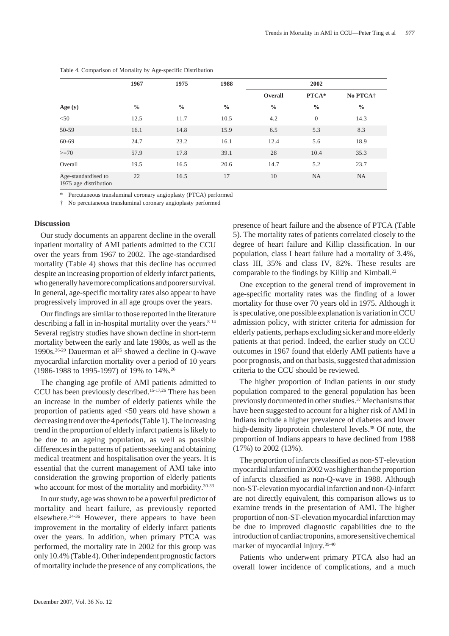|                                              | 1967          | 1975          | 1988          | 2002          |                  |                      |
|----------------------------------------------|---------------|---------------|---------------|---------------|------------------|----------------------|
|                                              |               |               |               | Overall       | PTCA*            | No PTCA <sup>+</sup> |
| Age (y)                                      | $\frac{0}{0}$ | $\frac{0}{0}$ | $\frac{0}{0}$ | $\frac{0}{0}$ | $\frac{0}{0}$    | $\frac{0}{0}$        |
| < 50                                         | 12.5          | 11.7          | 10.5          | 4.2           | $\boldsymbol{0}$ | 14.3                 |
| 50-59                                        | 16.1          | 14.8          | 15.9          | 6.5           | 5.3              | 8.3                  |
| $60 - 69$                                    | 24.7          | 23.2          | 16.1          | 12.4          | 5.6              | 18.9                 |
| $>=70$                                       | 57.9          | 17.8          | 39.1          | 28            | 10.4             | 35.3                 |
| Overall                                      | 19.5          | 16.5          | 20.6          | 14.7          | 5.2              | 23.7                 |
| Age-standardised to<br>1975 age distribution | 22            | 16.5          | 17            | 10            | <b>NA</b>        | <b>NA</b>            |

|  | Table 4. Comparison of Mortality by Age-specific Distribution |
|--|---------------------------------------------------------------|
|  |                                                               |

Percutaneous transluminal coronary angioplasty (PTCA) performed

† No percutaneous transluminal coronary angioplasty performed

### **Discussion**

Our study documents an apparent decline in the overall inpatient mortality of AMI patients admitted to the CCU over the years from 1967 to 2002. The age-standardised mortality (Table 4) shows that this decline has occurred despite an increasing proportion of elderly infarct patients, who generally have more complications and poorer survival. In general, age-specific mortality rates also appear to have progressively improved in all age groups over the years.

Our findings are similar to those reported in the literature describing a fall in in-hospital mortality over the years. $8-14$ Several registry studies have shown decline in short-term mortality between the early and late 1980s, as well as the 1990s.<sup>26-29</sup> Dauerman et al<sup>26</sup> showed a decline in O-wave myocardial infarction mortality over a period of 10 years (1986-1988 to 1995-1997) of 19% to 14%.26

The changing age profile of AMI patients admitted to CCU has been previously described.15-17,26 There has been an increase in the number of elderly patients while the proportion of patients aged <50 years old have shown a decreasing trend over the 4 periods (Table 1). The increasing trend in the proportion of elderly infarct patients is likely to be due to an ageing population, as well as possible differences in the patterns of patients seeking and obtaining medical treatment and hospitalisation over the years. It is essential that the current management of AMI take into consideration the growing proportion of elderly patients who account for most of the mortality and morbidity.<sup>30-33</sup>

In our study, age was shown to be a powerful predictor of mortality and heart failure, as previously reported elsewhere.34-36 However, there appears to have been improvement in the mortality of elderly infarct patients over the years. In addition, when primary PTCA was performed, the mortality rate in 2002 for this group was only 10.4% (Table 4). Other independent prognostic factors of mortality include the presence of any complications, the presence of heart failure and the absence of PTCA (Table 5). The mortality rates of patients correlated closely to the degree of heart failure and Killip classification. In our population, class I heart failure had a mortality of 3.4%, class III, 35% and class IV, 82%. These results are comparable to the findings by Killip and Kimball.<sup>22</sup>

One exception to the general trend of improvement in age-specific mortality rates was the finding of a lower mortality for those over 70 years old in 1975. Although it is speculative, one possible explanation is variation in CCU admission policy, with stricter criteria for admission for elderly patients, perhaps excluding sicker and more elderly patients at that period. Indeed, the earlier study on CCU outcomes in 1967 found that elderly AMI patients have a poor prognosis, and on that basis, suggested that admission criteria to the CCU should be reviewed.

The higher proportion of Indian patients in our study population compared to the general population has been previously documented in other studies.<sup>37</sup> Mechanisms that have been suggested to account for a higher risk of AMI in Indians include a higher prevalence of diabetes and lower high-density lipoprotein cholesterol levels.<sup>38</sup> Of note, the proportion of Indians appears to have declined from 1988 (17%) to 2002 (13%).

The proportion of infarcts classified as non-ST-elevation myocardial infarction in 2002 was higher than the proportion of infarcts classified as non-Q-wave in 1988. Although non-ST-elevation myocardial infarction and non-Q-infarct are not directly equivalent, this comparison allows us to examine trends in the presentation of AMI. The higher proportion of non-ST-elevation myocardial infarction may be due to improved diagnostic capabilities due to the introduction of cardiac troponins, a more sensitive chemical marker of myocardial injury.<sup>39-40</sup>

Patients who underwent primary PTCA also had an overall lower incidence of complications, and a much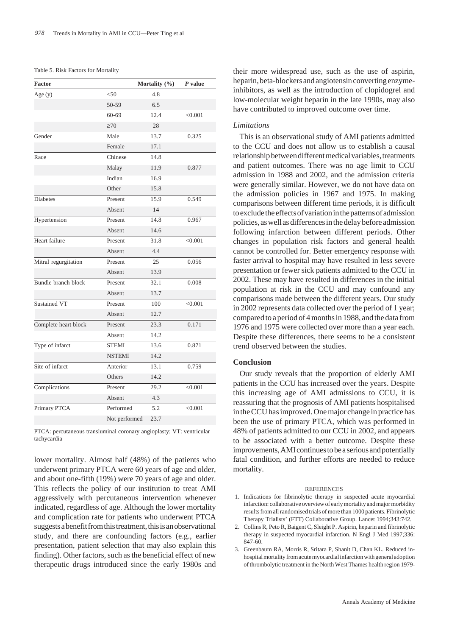#### Table 5. Risk Factors for Mortality

| Factor               |               | Mortality (%) | $P$ value |
|----------------------|---------------|---------------|-----------|
| Age $(y)$            | < 50          | 4.8           |           |
|                      | 50-59         | 6.5           |           |
|                      | $60 - 69$     | 12.4          | < 0.001   |
|                      | $\geq 70$     | 28            |           |
| Gender               | Male          | 13.7          | 0.325     |
|                      | Female        | 17.1          |           |
| Race                 | Chinese       | 14.8          |           |
|                      | Malay         | 11.9          | 0.877     |
|                      | Indian        | 16.9          |           |
|                      | Other         | 15.8          |           |
| <b>Diabetes</b>      | Present       | 15.9          | 0.549     |
|                      | Absent        | 14            |           |
| Hypertension         | Present       | 14.8          | 0.967     |
|                      | Absent        | 14.6          |           |
| Heart failure        | Present       | 31.8          | < 0.001   |
|                      | Absent        | 4.4           |           |
| Mitral regurgitation | Present       | 25            | 0.056     |
|                      | Absent        | 13.9          |           |
| Bundle branch block  | Present       | 32.1          | 0.008     |
|                      | Absent        | 13.7          |           |
| <b>Sustained VT</b>  | Present       | 100           | < 0.001   |
|                      | Absent        | 12.7          |           |
| Complete heart block | Present       | 23.3          | 0.171     |
|                      | Absent        | 14.2          |           |
| Type of infarct      | <b>STEMI</b>  | 13.6          | 0.871     |
|                      | <b>NSTEMI</b> | 14.2          |           |
| Site of infarct      | Anterior      | 13.1          | 0.759     |
|                      | Others        | 14.2          |           |
| Complications        | Present       | 29.2          | < 0.001   |
|                      | Absent        | 4.3           |           |
| Primary PTCA         | Performed     | 5.2           | < 0.001   |
|                      | Not performed | 23.7          |           |

PTCA: percutaneous transluminal coronary angioplasty; VT: ventricular tachycardia

lower mortality. Almost half (48%) of the patients who underwent primary PTCA were 60 years of age and older, and about one-fifth (19%) were 70 years of age and older. This reflects the policy of our institution to treat AMI aggressively with percutaneous intervention whenever indicated, regardless of age. Although the lower mortality and complication rate for patients who underwent PTCA suggests a benefit from this treatment, this is an observational study, and there are confounding factors (e.g., earlier presentation, patient selection that may also explain this finding). Other factors, such as the beneficial effect of new therapeutic drugs introduced since the early 1980s and their more widespread use, such as the use of aspirin, heparin, beta-blockers and angiotensin converting enzymeinhibitors, as well as the introduction of clopidogrel and low-molecular weight heparin in the late 1990s, may also have contributed to improved outcome over time.

### *Limitations*

This is an observational study of AMI patients admitted to the CCU and does not allow us to establish a causal relationship between different medical variables, treatments and patient outcomes. There was no age limit to CCU admission in 1988 and 2002, and the admission criteria were generally similar. However, we do not have data on the admission policies in 1967 and 1975. In making comparisons between different time periods, it is difficult to exclude the effects of variation in the patterns of admission policies, as well as differences in the delay before admission following infarction between different periods. Other changes in population risk factors and general health cannot be controlled for. Better emergency response with faster arrival to hospital may have resulted in less severe presentation or fewer sick patients admitted to the CCU in 2002. These may have resulted in differences in the initial population at risk in the CCU and may confound any comparisons made between the different years. Our study in 2002 represents data collected over the period of 1 year; compared to a period of 4 months in 1988, and the data from 1976 and 1975 were collected over more than a year each. Despite these differences, there seems to be a consistent trend observed between the studies.

#### **Conclusion**

Our study reveals that the proportion of elderly AMI patients in the CCU has increased over the years. Despite this increasing age of AMI admissions to CCU, it is reassuring that the prognosis of AMI patients hospitalised in the CCU has improved. One major change in practice has been the use of primary PTCA, which was performed in 48% of patients admitted to our CCU in 2002, and appears to be associated with a better outcome. Despite these improvements, AMI continues to be a serious and potentially fatal condition, and further efforts are needed to reduce mortality.

#### **REFERENCES**

- 1. Indications for fibrinolytic therapy in suspected acute myocardial infarction: collaborative overview of early mortality and major morbidity results from all randomised trials of more than 1000 patients. Fibrinolytic Therapy Trialists' (FTT) Collaborative Group. Lancet 1994;343:742.
- 2. Collins R, Peto R, Baigent C, Sleight P. Aspirin, heparin and fibrinolytic therapy in suspected myocardial infarction. N Engl J Med 1997;336: 847-60.
- 3. Greenbaum RA, Morris R, Sritara P, Shanit D, Chan KL. Reduced inhospital mortality from acute myocardial infarction with general adoption of thrombolytic treatment in the North West Thames health region 1979-